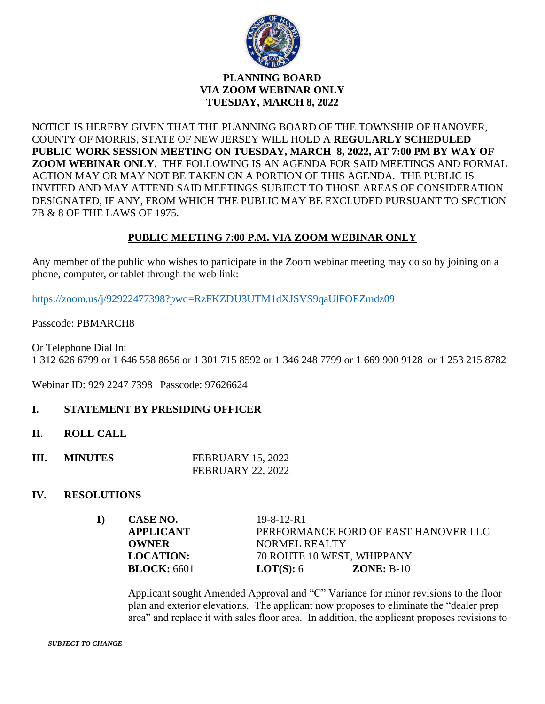

# **PLANNING BOARD VIA ZOOM WEBINAR ONLY TUESDAY, MARCH 8, 2022**

NOTICE IS HEREBY GIVEN THAT THE PLANNING BOARD OF THE TOWNSHIP OF HANOVER, COUNTY OF MORRIS, STATE OF NEW JERSEY WILL HOLD A **REGULARLY SCHEDULED PUBLIC WORK SESSION MEETING ON TUESDAY, MARCH 8, 2022, AT 7:00 PM BY WAY OF ZOOM WEBINAR ONLY.** THE FOLLOWING IS AN AGENDA FOR SAID MEETINGS AND FORMAL ACTION MAY OR MAY NOT BE TAKEN ON A PORTION OF THIS AGENDA. THE PUBLIC IS INVITED AND MAY ATTEND SAID MEETINGS SUBJECT TO THOSE AREAS OF CONSIDERATION DESIGNATED, IF ANY, FROM WHICH THE PUBLIC MAY BE EXCLUDED PURSUANT TO SECTION 7B & 8 OF THE LAWS OF 1975.

# **PUBLIC MEETING 7:00 P.M. VIA ZOOM WEBINAR ONLY**

Any member of the public who wishes to participate in the Zoom webinar meeting may do so by joining on a phone, computer, or tablet through the web link:

<https://zoom.us/j/92922477398?pwd=RzFKZDU3UTM1dXJSVS9qaUlFOEZmdz09>

Passcode: PBMARCH8

Or Telephone Dial In: 1 312 626 6799 or 1 646 558 8656 or 1 301 715 8592 or 1 346 248 7799 or 1 669 900 9128 or 1 253 215 8782

Webinar ID: 929 2247 7398 Passcode: 97626624

# **I. STATEMENT BY PRESIDING OFFICER**

- **II. ROLL CALL**
- **III. MINUTES** FEBRUARY 15, 2022 FEBRUARY 22, 2022

## **IV. RESOLUTIONS**

|  | CASE NO.         | $19 - 8 - 12 - R1$                   |
|--|------------------|--------------------------------------|
|  | <b>APPLICANT</b> | PERFORMANCE FORD OF EAST HANOVER LLC |
|  | OWNER            | NORMEL REALTY                        |
|  | <b>LOCATION:</b> | 70 ROUTE 10 WEST, WHIPPANY           |
|  | BLOCK: 6601      | <b>LOT(S):</b> $6$<br>$ZONE: B-10$   |

Applicant sought Amended Approval and "C" Variance for minor revisions to the floor plan and exterior elevations. The applicant now proposes to eliminate the "dealer prep area" and replace it with sales floor area. In addition, the applicant proposes revisions to